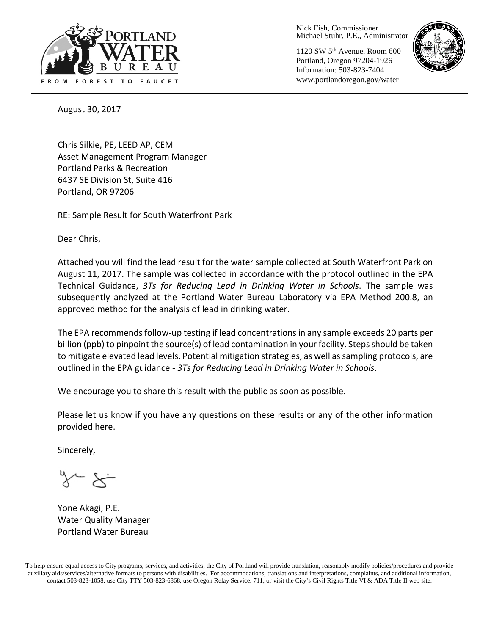

Nick Fish, Commissioner Michael Stuhr, P.E., Administrator

1120 SW 5th Avenue, Room 600 Portland, Oregon 97204-1926 Information: 503-823-7404 www.portlandoregon.gov/water



August 30, 2017

Chris Silkie, PE, LEED AP, CEM Asset Management Program Manager Portland Parks & Recreation 6437 SE Division St, Suite 416 Portland, OR 97206

RE: Sample Result for South Waterfront Park

Dear Chris,

Attached you will find the lead result for the water sample collected at South Waterfront Park on August 11, 2017. The sample was collected in accordance with the protocol outlined in the EPA Technical Guidance, *3Ts for Reducing Lead in Drinking Water in Schools*. The sample was subsequently analyzed at the Portland Water Bureau Laboratory via EPA Method 200.8, an approved method for the analysis of lead in drinking water.

The EPA recommends follow-up testing if lead concentrations in any sample exceeds 20 parts per billion (ppb) to pinpoint the source(s) of lead contamination in your facility. Steps should be taken to mitigate elevated lead levels. Potential mitigation strategies, as well as sampling protocols, are outlined in the EPA guidance - *3Ts for Reducing Lead in Drinking Water in Schools*.

We encourage you to share this result with the public as soon as possible.

Please let us know if you have any questions on these results or any of the other information provided here.

Sincerely,

Yone Akagi, P.E. Water Quality Manager Portland Water Bureau

To help ensure equal access to City programs, services, and activities, the City of Portland will provide translation, reasonably modify policies/procedures and provide auxiliary aids/services/alternative formats to persons with disabilities. For accommodations, translations and interpretations, complaints, and additional information, contact 503-823-1058, use City TTY 503-823-6868, use Oregon Relay Service: 711, or visi[t the City's Civil Rights Title VI & ADA Title II web site.](http://www.portlandoregon.gov/oehr/66458)